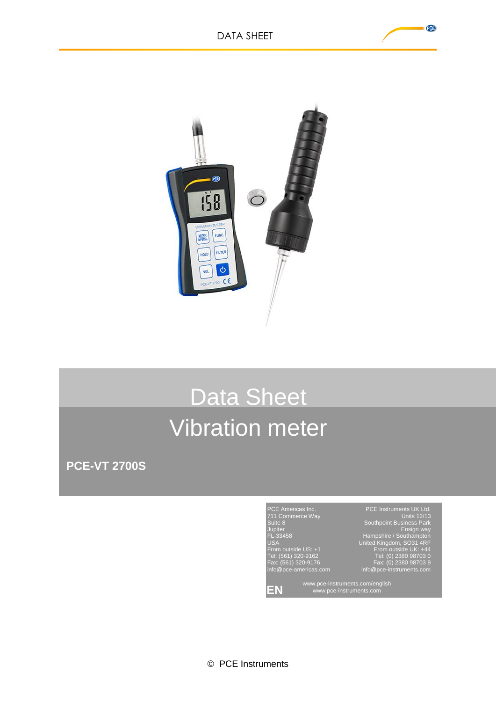

## Data Sheet Vibration meter

**PCE-VT 2700S**



PCE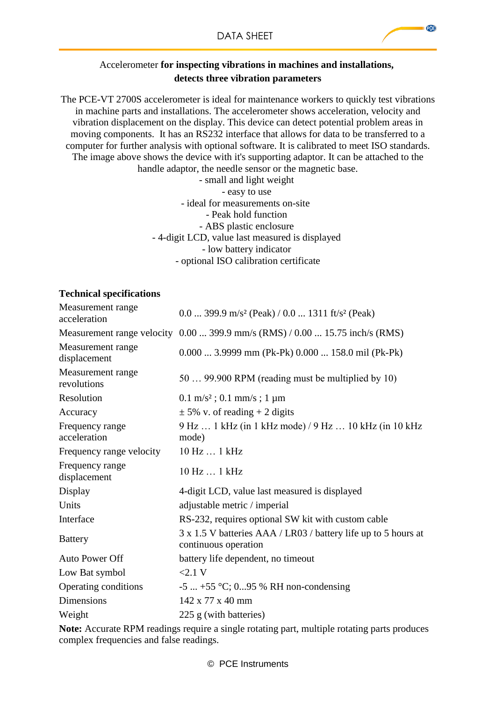## Accelerometer **for inspecting vibrations in machines and installations, detects three vibration parameters**

The PCE-VT 2700S accelerometer is ideal for maintenance workers to quickly test vibrations in machine parts and installations. The accelerometer shows acceleration, velocity and vibration displacement on the display. This device can detect potential problem areas in moving components. It has an RS232 interface that allows for data to be transferred to a computer for further analysis with optional software. It is calibrated to meet ISO standards. The image above shows the device with it's supporting adaptor. It can be attached to the handle adaptor, the needle sensor or the magnetic base.

- small and light weight - easy to use - ideal for measurements on-site - Peak hold function - ABS plastic enclosure - 4-digit LCD, value last measured is displayed - low battery indicator - optional ISO calibration certificate

## **Technical specifications**

| Measurement range<br>acceleration                                                                                                                                                                                                                                                                                                                                                                                         | 0.0  399.9 m/s <sup>2</sup> (Peak) / 0.0  1311 ft/s <sup>2</sup> (Peak)                |
|---------------------------------------------------------------------------------------------------------------------------------------------------------------------------------------------------------------------------------------------------------------------------------------------------------------------------------------------------------------------------------------------------------------------------|----------------------------------------------------------------------------------------|
|                                                                                                                                                                                                                                                                                                                                                                                                                           | Measurement range velocity 0.00  399.9 mm/s (RMS) / 0.00  15.75 inch/s (RMS)           |
| Measurement range<br>displacement                                                                                                                                                                                                                                                                                                                                                                                         | $0.000$ 3.9999 mm (Pk-Pk) $0.000$ 158.0 mil (Pk-Pk)                                    |
| Measurement range<br>revolutions                                                                                                                                                                                                                                                                                                                                                                                          | 50  99.900 RPM (reading must be multiplied by 10)                                      |
| Resolution                                                                                                                                                                                                                                                                                                                                                                                                                | $0.1 \text{ m/s}^2$ ; $0.1 \text{ mm/s}$ ; $1 \mu \text{m}$                            |
| Accuracy                                                                                                                                                                                                                                                                                                                                                                                                                  | $\pm$ 5% v. of reading + 2 digits                                                      |
| Frequency range<br>acceleration                                                                                                                                                                                                                                                                                                                                                                                           | 9 Hz  1 kHz (in 1 kHz mode) / 9 Hz  10 kHz (in 10 kHz<br>mode)                         |
| Frequency range velocity                                                                                                                                                                                                                                                                                                                                                                                                  | 10 Hz  1 kHz                                                                           |
| Frequency range<br>displacement                                                                                                                                                                                                                                                                                                                                                                                           | 10 Hz  1 kHz                                                                           |
| Display                                                                                                                                                                                                                                                                                                                                                                                                                   | 4-digit LCD, value last measured is displayed                                          |
| Units                                                                                                                                                                                                                                                                                                                                                                                                                     | adjustable metric / imperial                                                           |
| Interface                                                                                                                                                                                                                                                                                                                                                                                                                 | RS-232, requires optional SW kit with custom cable                                     |
| <b>Battery</b>                                                                                                                                                                                                                                                                                                                                                                                                            | 3 x 1.5 V batteries AAA / LR03 / battery life up to 5 hours at<br>continuous operation |
| Auto Power Off                                                                                                                                                                                                                                                                                                                                                                                                            | battery life dependent, no timeout                                                     |
| Low Bat symbol                                                                                                                                                                                                                                                                                                                                                                                                            | $<2.1$ V                                                                               |
| Operating conditions                                                                                                                                                                                                                                                                                                                                                                                                      | $-5$ $+55$ °C; 095 % RH non-condensing                                                 |
| <b>Dimensions</b>                                                                                                                                                                                                                                                                                                                                                                                                         | 142 x 77 x 40 mm                                                                       |
| Weight                                                                                                                                                                                                                                                                                                                                                                                                                    | 225 g (with batteries)                                                                 |
| $N_{i+1}, \lambda_{i+1}, \ldots, \lambda_{i}$ $\mathbf{D} \mathbf{D} \mathbf{M}_{i+1}, \ldots, \mathbf{M}_{i+1}, \ldots, \mathbf{M}_{i+1}, \ldots, \mathbf{M}_{i+1}, \ldots, \mathbf{M}_{i+1}, \ldots, \mathbf{M}_{i+1}, \ldots, \mathbf{M}_{i+1}, \ldots, \mathbf{M}_{i+1}, \ldots, \mathbf{M}_{i+1}, \ldots, \mathbf{M}_{i+1}, \ldots, \mathbf{M}_{i+1}, \ldots, \mathbf{M}_{i+1}, \ldots, \mathbf{M}_{i+1}, \ldots, \$ |                                                                                        |

**Note:** Accurate RPM readings require a single rotating part, multiple rotating parts produces complex frequencies and false readings.

PCE